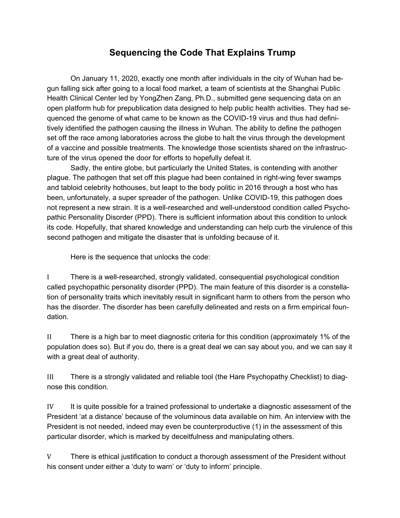# **Sequencing the Code That Explains Trump**

 On January 11, 2020, exactly one month after individuals in the city of Wuhan had begun falling sick after going to a local food market, a team of scientists at the Shanghai Public Health Clinical Center led by YongZhen Zang, Ph.D., submitted gene sequencing data on an open platform hub for prepublication data designed to help public health activities. They had sequenced the genome of what came to be known as the COVID-19 virus and thus had definitively identified the pathogen causing the illness in Wuhan. The ability to define the pathogen set off the race among laboratories across the globe to halt the virus through the development of a vaccine and possible treatments. The knowledge those scientists shared on the infrastructure of the virus opened the door for efforts to hopefully defeat it.

 Sadly, the entire globe, but particularly the United States, is contending with another plague. The pathogen that set off this plague had been contained in right-wing fever swamps and tabloid celebrity hothouses, but leapt to the body politic in 2016 through a host who has been, unfortunately, a super spreader of the pathogen. Unlike COVID-19, this pathogen does not represent a new strain. It is a well-researched and well-understood condition called Psychopathic Personality Disorder (PPD). There is sufficient information about this condition to unlock its code. Hopefully, that shared knowledge and understanding can help curb the virulence of this second pathogen and mitigate the disaster that is unfolding because of it.

Here is the sequence that unlocks the code:

I There is a well-researched, strongly validated, consequential psychological condition called psychopathic personality disorder (PPD). The main feature of this disorder is a constellation of personality traits which inevitably result in significant harm to others from the person who has the disorder. The disorder has been carefully delineated and rests on a firm empirical foundation.

II There is a high bar to meet diagnostic criteria for this condition (approximately 1% of the population does so). But if you do, there is a great deal we can say about you, and we can say it with a great deal of authority.

III There is a strongly validated and reliable tool (the Hare Psychopathy Checklist) to diagnose this condition.

IV It is quite possible for a trained professional to undertake a diagnostic assessment of the President 'at a distance' because of the voluminous data available on him. An interview with the President is not needed, indeed may even be counterproductive (1) in the assessment of this particular disorder, which is marked by deceitfulness and manipulating others.

V There is ethical justification to conduct a thorough assessment of the President without his consent under either a 'duty to warn' or 'duty to inform' principle.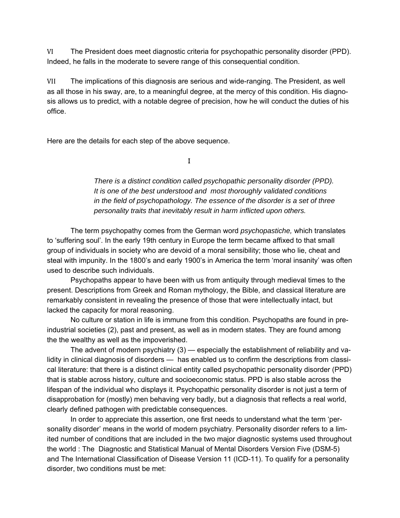VI The President does meet diagnostic criteria for psychopathic personality disorder (PPD). Indeed, he falls in the moderate to severe range of this consequential condition.

VII The implications of this diagnosis are serious and wide-ranging. The President, as well as all those in his sway, are, to a meaningful degree, at the mercy of this condition. His diagnosis allows us to predict, with a notable degree of precision, how he will conduct the duties of his office.

Here are the details for each step of the above sequence.

 $\mathbf{I}$  is a set of the set of the set of the set of the set of the set of the set of the set of the set of the set of the set of the set of the set of the set of the set of the set of the set of the set of the set of th

 *There is a distinct condition called psychopathic personality disorder (PPD). It is one of the best understood and most thoroughly validated conditions in the field of psychopathology. The essence of the disorder is a set of three personality traits that inevitably result in harm inflicted upon others.* 

 The term psychopathy comes from the German word *psychopastiche,* which translates to 'suffering soul'. In the early 19th century in Europe the term became affixed to that small group of individuals in society who are devoid of a moral sensibility; those who lie, cheat and steal with impunity. In the 1800's and early 1900's in America the term 'moral insanity' was often used to describe such individuals.

 Psychopaths appear to have been with us from antiquity through medieval times to the present. Descriptions from Greek and Roman mythology, the Bible, and classical literature are remarkably consistent in revealing the presence of those that were intellectually intact, but lacked the capacity for moral reasoning.

 No culture or station in life is immune from this condition. Psychopaths are found in preindustrial societies (2), past and present, as well as in modern states. They are found among the the wealthy as well as the impoverished.

 The advent of modern psychiatry (3) — especially the establishment of reliability and validity in clinical diagnosis of disorders — has enabled us to confirm the descriptions from classical literature: that there is a distinct clinical entity called psychopathic personality disorder (PPD) that is stable across history, culture and socioeconomic status. PPD is also stable across the lifespan of the individual who displays it. Psychopathic personality disorder is not just a term of disapprobation for (mostly) men behaving very badly, but a diagnosis that reflects a real world, clearly defined pathogen with predictable consequences.

 In order to appreciate this assertion, one first needs to understand what the term 'personality disorder' means in the world of modern psychiatry. Personality disorder refers to a limited number of conditions that are included in the two major diagnostic systems used throughout the world : The Diagnostic and Statistical Manual of Mental Disorders Version Five (DSM-5) and The International Classification of Disease Version 11 (ICD-11). To qualify for a personality disorder, two conditions must be met: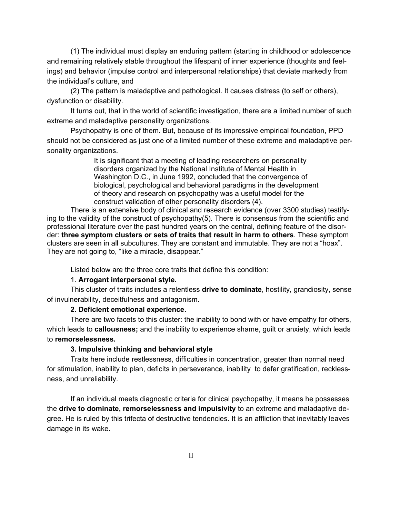(1) The individual must display an enduring pattern (starting in childhood or adolescence and remaining relatively stable throughout the lifespan) of inner experience (thoughts and feelings) and behavior (impulse control and interpersonal relationships) that deviate markedly from the individual's culture, and

 (2) The pattern is maladaptive and pathological. It causes distress (to self or others), dysfunction or disability.

 It turns out, that in the world of scientific investigation, there are a limited number of such extreme and maladaptive personality organizations.

 Psychopathy is one of them. But, because of its impressive empirical foundation, PPD should not be considered as just one of a limited number of these extreme and maladaptive personality organizations.

> It is significant that a meeting of leading researchers on personality disorders organized by the National Institute of Mental Health in Washington D.C., in June 1992, concluded that the convergence of biological, psychological and behavioral paradigms in the development of theory and research on psychopathy was a useful model for the construct validation of other personality disorders (4).

 There is an extensive body of clinical and research evidence (over 3300 studies) testifying to the validity of the construct of psychopathy(5). There is consensus from the scientific and professional literature over the past hundred years on the central, defining feature of the disorder: **three symptom clusters or sets of traits that result in harm to others**. These symptom clusters are seen in all subcultures. They are constant and immutable. They are not a "hoax". They are not going to, "like a miracle, disappear."

Listed below are the three core traits that define this condition:

#### 1. **Arrogant interpersonal style.**

This cluster of traits includes a relentless **drive to dominate**, hostility, grandiosity, sense of invulnerability, deceitfulness and antagonism.

#### **2. Deficient emotional experience.**

There are two facets to this cluster: the inability to bond with or have empathy for others, which leads to **callousness;** and the inability to experience shame, guilt or anxiety, which leads to **remorselessness.** 

### **3. Impulsive thinking and behavioral style**

Traits here include restlessness, difficulties in concentration, greater than normal need for stimulation, inability to plan, deficits in perseverance, inability to defer gratification, recklessness, and unreliability.

If an individual meets diagnostic criteria for clinical psychopathy, it means he possesses the **drive to dominate, remorselessness and impulsivity** to an extreme and maladaptive degree. He is ruled by this trifecta of destructive tendencies. It is an affliction that inevitably leaves damage in its wake.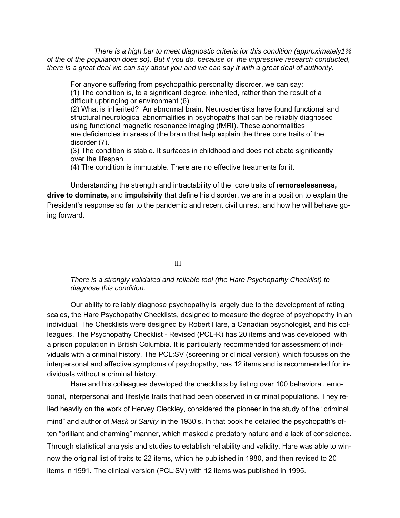*There is a high bar to meet diagnostic criteria for this condition (approximately1% of the of the population does so). But if you do, because of the impressive research conducted, there is a great deal we can say about you and we can say it with a great deal of authority.* 

For anyone suffering from psychopathic personality disorder, we can say: (1) The condition is, to a significant degree, inherited, rather than the result of a difficult upbringing or environment (6).

 (2) What is inherited? An abnormal brain. Neuroscientists have found functional and structural neurological abnormalities in psychopaths that can be reliably diagnosed using functional magnetic resonance imaging (fMRI). These abnormalities are deficiencies in areas of the brain that help explain the three core traits of the disorder (7).

 (3) The condition is stable. It surfaces in childhood and does not abate significantly over the lifespan.

(4) The condition is immutable. There are no effective treatments for it.

 Understanding the strength and intractability of the core traits of r**emorselessness, drive to dominate,** and **impulsivity** that define his disorder, we are in a position to explain the President's response so far to the pandemic and recent civil unrest; and how he will behave going forward.

<u>III ama amin'ny fivondronan-kaominin'i Castro Barbara ao amin'ny fivondronan-kaominin'i Castro Barbara ao amin'ny fivondronan-kaominin'i Castro Barbara ao amin'ny fivondronan-kaominin'i Castro Barbara ao amin'ny fivondron</u>

 *There is a strongly validated and reliable tool (the Hare Psychopathy Checklist) to diagnose this condition.* 

 Our ability to reliably diagnose psychopathy is largely due to the development of rating scales, the Hare Psychopathy Checklists, designed to measure the degree of psychopathy in an individual. The Checklists were designed by Robert Hare, a Canadian psychologist, and his colleagues. The Psychopathy Checklist - Revised (PCL-R) has 20 items and was developed with a prison population in British Columbia. It is particularly recommended for assessment of individuals with a criminal history. The PCL:SV (screening or clinical version), which focuses on the interpersonal and affective symptoms of psychopathy, has 12 items and is recommended for individuals without a criminal history.

 Hare and his colleagues developed the checklists by listing over 100 behavioral, emotional, interpersonal and lifestyle traits that had been observed in criminal populations. They relied heavily on the work of Hervey Cleckley, considered the pioneer in the study of the "criminal mind" and author of *Mask of Sanity* in the 1930's. In that book he detailed the psychopath's often "brilliant and charming" manner, which masked a predatory nature and a lack of conscience. Through statistical analysis and studies to establish reliability and validity, Hare was able to winnow the original list of traits to 22 items, which he published in 1980, and then revised to 20 items in 1991. The clinical version (PCL:SV) with 12 items was published in 1995.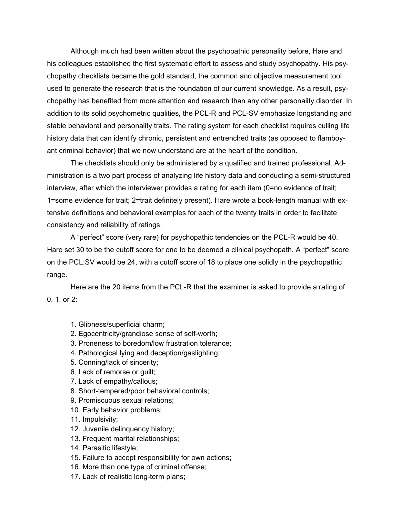Although much had been written about the psychopathic personality before, Hare and his colleagues established the first systematic effort to assess and study psychopathy. His psychopathy checklists became the gold standard, the common and objective measurement tool used to generate the research that is the foundation of our current knowledge. As a result, psychopathy has benefited from more attention and research than any other personality disorder. In addition to its solid psychometric qualities, the PCL-R and PCL-SV emphasize longstanding and stable behavioral and personality traits. The rating system for each checklist requires culling life history data that can identify chronic, persistent and entrenched traits (as opposed to flamboyant criminal behavior) that we now understand are at the heart of the condition.

 The checklists should only be administered by a qualified and trained professional. Administration is a two part process of analyzing life history data and conducting a semi-structured interview, after which the interviewer provides a rating for each item (0=no evidence of trait; 1=some evidence for trait; 2=trait definitely present). Hare wrote a book-length manual with extensive definitions and behavioral examples for each of the twenty traits in order to facilitate consistency and reliability of ratings.

 A "perfect" score (very rare) for psychopathic tendencies on the PCL-R would be 40. Hare set 30 to be the cutoff score for one to be deemed a clinical psychopath. A "perfect" score on the PCL:SV would be 24, with a cutoff score of 18 to place one solidly in the psychopathic range.

 Here are the 20 items from the PCL-R that the examiner is asked to provide a rating of 0, 1, or 2:

- 1. Glibness/superficial charm;
- 2. Egocentricity/grandiose sense of self-worth;
- 3. Proneness to boredom/low frustration tolerance;
- 4. Pathological lying and deception/gaslighting;
- 5. Conning/lack of sincerity;
- 6. Lack of remorse or guilt;
- 7. Lack of empathy/callous;
- 8. Short-tempered/poor behavioral controls;
- 9. Promiscuous sexual relations;
- 10. Early behavior problems;
- 11. Impulsivity;
- 12. Juvenile delinquency history;
- 13. Frequent marital relationships;
- 14. Parasitic lifestyle;
- 15. Failure to accept responsibility for own actions;
- 16. More than one type of criminal offense;
- 17. Lack of realistic long-term plans;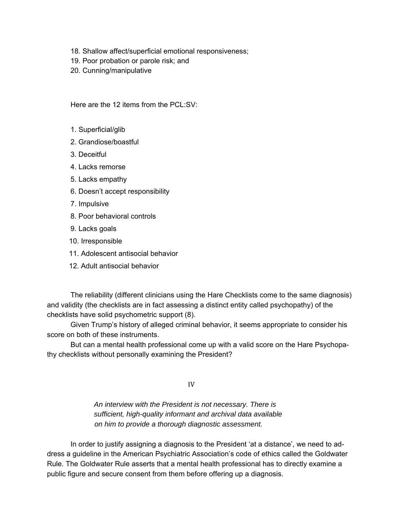- 18. Shallow affect/superficial emotional responsiveness;
- 19. Poor probation or parole risk; and
- 20. Cunning/manipulative

Here are the 12 items from the PCL:SV:

- 1. Superficial/glib
- 2. Grandiose/boastful
- 3. Deceitful
- 4. Lacks remorse
- 5. Lacks empathy
- 6. Doesn't accept responsibility
- 7. Impulsive
- 8. Poor behavioral controls
- 9. Lacks goals
- 10. Irresponsible
- 11. Adolescent antisocial behavior
- 12. Adult antisocial behavior

The reliability (different clinicians using the Hare Checklists come to the same diagnosis) and validity (the checklists are in fact assessing a distinct entity called psychopathy) of the checklists have solid psychometric support (8).

 Given Trump's history of alleged criminal behavior, it seems appropriate to consider his score on both of these instruments.

 But can a mental health professional come up with a valid score on the Hare Psychopathy checklists without personally examining the President?

IV

 *An interview with the President is not necessary. There is sufficient, high-quality informant and archival data available on him to provide a thorough diagnostic assessment.*

 In order to justify assigning a diagnosis to the President 'at a distance', we need to address a guideline in the American Psychiatric Association's code of ethics called the Goldwater Rule. The Goldwater Rule asserts that a mental health professional has to directly examine a public figure and secure consent from them before offering up a diagnosis.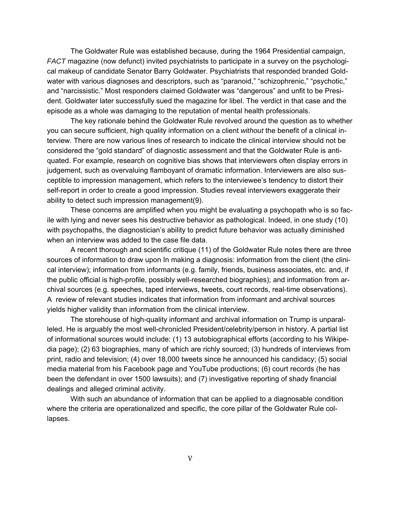The Goldwater Rule was established because, during the 1964 Presidential campaign, *FACT* magazine (now defunct) invited psychiatrists to participate in a survey on the psychological makeup of candidate Senator Barry Goldwater. Psychiatrists that responded branded Goldwater with various diagnoses and descriptors, such as "paranoid," "schizophrenic," "psychotic," and "narcissistic." Most responders claimed Goldwater was "dangerous" and unfit to be President. Goldwater later successfully sued the magazine for libel. The verdict in that case and the episode as a whole was damaging to the reputation of mental health professionals.

 The key rationale behind the Goldwater Rule revolved around the question as to whether you can secure sufficient, high quality information on a client *without* the benefit of a clinical interview. There are now various lines of research to indicate the clinical interview should not be considered the "gold standard" of diagnostic assessment and that the Goldwater Rule is antiquated. For example, research on cognitive bias shows that interviewers often display errors in judgement, such as overvaluing flamboyant of dramatic information. Interviewers are also susceptible to impression management, which refers to the interviewee's tendency to distort their self-report in order to create a good impression. Studies reveal interviewers exaggerate their ability to detect such impression management(9).

 These concerns are amplified when you might be evaluating a psychopath who is so facile with lying and never sees his destructive behavior as pathological. Indeed, in one study (10) with psychopaths, the diagnostician's ability to predict future behavior was actually diminished when an interview was added to the case file data.

 A recent thorough and scientific critique (11) of the Goldwater Rule notes there are three sources of information to draw upon In making a diagnosis: information from the client (the clinical interview); information from informants (e.g. family, friends, business associates, etc. and, if the public official is high-profile, possibly well-researched biographies); and information from archival sources (e.g. speeches, taped interviews, tweets, court records, real-time observations). A review of relevant studies indicates that information from informant and archival sources yields higher validity than information from the clinical interview.

 The storehouse of high-quality informant and archival information on Trump is unparalleled. He is arguably the most well-chronicled President/celebrity/person in history. A partial list of informational sources would include: (1) 13 autobiographical efforts (according to his Wikipedia page); (2) 63 biographies, many of which are richly sourced; (3) hundreds of interviews from print, radio and television; (4) over 18,000 tweets since he announced his candidacy; (5) social media material from his Facebook page and YouTube productions; (6) court records (he has been the defendant in over 1500 lawsuits); and (7) investigative reporting of shady financial dealings and alleged criminal activity.

 With such an abundance of information that can be applied to a diagnosable condition where the criteria are operationalized and specific, the core pillar of the Goldwater Rule collapses.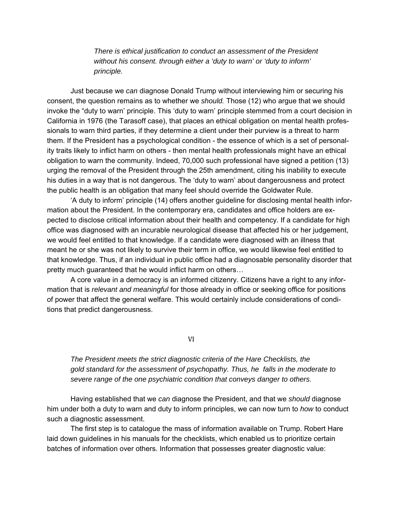*There is ethical justification to conduct an assessment of the President without his consent. through either a 'duty to warn' or 'duty to inform' principle.* 

Just because we *can* diagnose Donald Trump without interviewing him or securing his consent, the question remains as to whether we *should.* Those (12) who argue that we should invoke the "duty to warn' principle. This 'duty to warn' principle stemmed from a court decision in California in 1976 (the Tarasoff case), that places an ethical obligation on mental health professionals to warn third parties, if they determine a client under their purview is a threat to harm them. If the President has a psychological condition - the essence of which is a set of personality traits likely to inflict harm on others - then mental health professionals might have an ethical obligation to warn the community. Indeed, 70,000 such professional have signed a petition (13) urging the removal of the President through the 25th amendment, citing his inability to execute his duties in a way that is not dangerous. The 'duty to warn' about dangerousness and protect the public health is an obligation that many feel should override the Goldwater Rule.

 'A duty to inform' principle (14) offers another guideline for disclosing mental health information about the President. In the contemporary era, candidates and office holders are expected to disclose critical information about their health and competency. If a candidate for high office was diagnosed with an incurable neurological disease that affected his or her judgement, we would feel entitled to that knowledge. If a candidate were diagnosed with an illness that meant he or she was not likely to survive their term in office, we would likewise feel entitled to that knowledge. Thus, if an individual in public office had a diagnosable personality disorder that pretty much guaranteed that he would inflict harm on others…

 A core value in a democracy is an informed citizenry. Citizens have a right to any information that is *relevant and meaningful* for those already in office or seeking office for positions of power that affect the general welfare. This would certainly include considerations of conditions that predict dangerousness.

VI

*The President meets the strict diagnostic criteria of the Hare Checklists, the gold standard for the assessment of psychopathy. Thus, he falls in the moderate to severe range of the one psychiatric condition that conveys danger to others.* 

Having established that we *can* diagnose the President, and that we *should* diagnose him under both a duty to warn and duty to inform principles, we can now turn to *how* to conduct such a diagnostic assessment.

 The first step is to catalogue the mass of information available on Trump. Robert Hare laid down guidelines in his manuals for the checklists, which enabled us to prioritize certain batches of information over others. Information that possesses greater diagnostic value: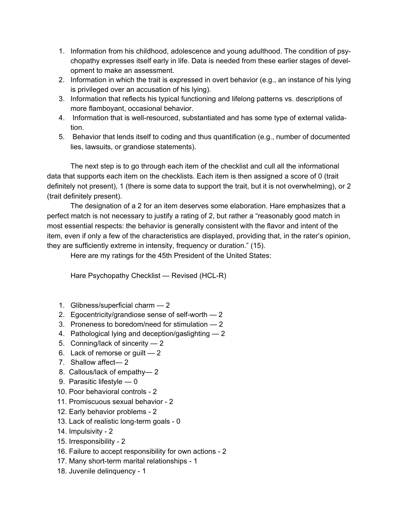- 1. Information from his childhood, adolescence and young adulthood. The condition of psychopathy expresses itself early in life. Data is needed from these earlier stages of development to make an assessment.
- 2. Information in which the trait is expressed in overt behavior (e.g., an instance of his lying is privileged over an accusation of his lying).
- 3. Information that reflects his typical functioning and lifelong patterns vs. descriptions of more flamboyant, occasional behavior.
- 4. Information that is well-resourced, substantiated and has some type of external validation.
- 5. Behavior that lends itself to coding and thus quantification (e.g., number of documented lies, lawsuits, or grandiose statements).

 The next step is to go through each item of the checklist and cull all the informational data that supports each item on the checklists. Each item is then assigned a score of 0 (trait definitely not present), 1 (there is some data to support the trait, but it is not overwhelming), or 2 (trait definitely present).

 The designation of a 2 for an item deserves some elaboration. Hare emphasizes that a perfect match is not necessary to justify a rating of 2, but rather a "reasonably good match in most essential respects: the behavior is generally consistent with the flavor and intent of the item, even if only a few of the characteristics are displayed, providing that, in the rater's opinion, they are sufficiently extreme in intensity, frequency or duration." (15).

Here are my ratings for the 45th President of the United States:

Hare Psychopathy Checklist — Revised (HCL-R)

- 1. Glibness/superficial charm 2
- 2. Egocentricity/grandiose sense of self-worth  $-2$
- 3. Proneness to boredom/need for stimulation 2
- 4. Pathological lying and deception/gaslighting 2
- 5. Conning/lack of sincerity 2
- 6. Lack of remorse or guilt 2
- 7. Shallow affect— 2
- 8. Callous/lack of empathy— 2
- 9. Parasitic lifestyle 0
- 10. Poor behavioral controls 2
- 11. Promiscuous sexual behavior 2
- 12. Early behavior problems 2
- 13. Lack of realistic long-term goals 0
- 14. Impulsivity 2
- 15. Irresponsibility 2
- 16. Failure to accept responsibility for own actions 2
- 17. Many short-term marital relationships 1
- 18. Juvenile delinquency 1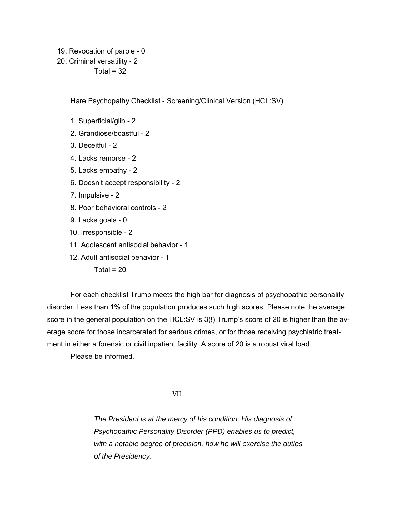- 19. Revocation of parole 0
- 20. Criminal versatility 2

 $Total = 32$ 

Hare Psychopathy Checklist - Screening/Clinical Version (HCL:SV)

- 1. Superficial/glib 2
- 2. Grandiose/boastful 2
- 3. Deceitful 2
- 4. Lacks remorse 2
- 5. Lacks empathy 2
- 6. Doesn't accept responsibility 2
- 7. Impulsive 2
- 8. Poor behavioral controls 2
- 9. Lacks goals 0
- 10. Irresponsible 2
- 11. Adolescent antisocial behavior 1
- 12. Adult antisocial behavior 1

Total =  $20$ 

 For each checklist Trump meets the high bar for diagnosis of psychopathic personality disorder. Less than 1% of the population produces such high scores. Please note the average score in the general population on the HCL:SV is 3(!) Trump's score of 20 is higher than the average score for those incarcerated for serious crimes, or for those receiving psychiatric treatment in either a forensic or civil inpatient facility. A score of 20 is a robust viral load.

Please be informed.

VII

 *The President is at the mercy of his condition. His diagnosis of Psychopathic Personality Disorder (PPD) enables us to predict, with a notable degree of precision, how he will exercise the duties of the Presidency.*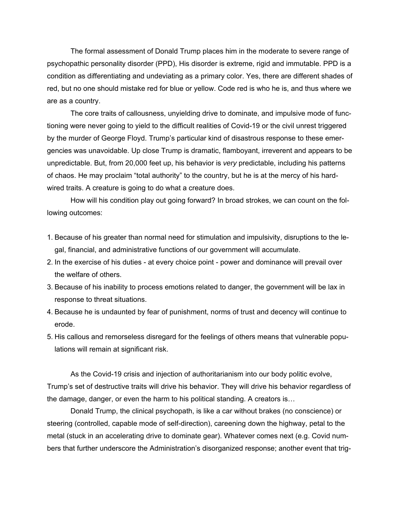The formal assessment of Donald Trump places him in the moderate to severe range of psychopathic personality disorder (PPD), His disorder is extreme, rigid and immutable. PPD is a condition as differentiating and undeviating as a primary color. Yes, there are different shades of red, but no one should mistake red for blue or yellow. Code red is who he is, and thus where we are as a country.

 The core traits of callousness, unyielding drive to dominate, and impulsive mode of functioning were never going to yield to the difficult realities of Covid-19 or the civil unrest triggered by the murder of George Floyd. Trump's particular kind of disastrous response to these emergencies was unavoidable. Up close Trump is dramatic, flamboyant, irreverent and appears to be unpredictable. But, from 20,000 feet up, his behavior is *very* predictable, including his patterns of chaos. He may proclaim "total authority" to the country, but he is at the mercy of his hardwired traits. A creature is going to do what a creature does.

 How will his condition play out going forward? In broad strokes, we can count on the following outcomes:

- 1. Because of his greater than normal need for stimulation and impulsivity, disruptions to the legal, financial, and administrative functions of our government will accumulate.
- 2. In the exercise of his duties at every choice point power and dominance will prevail over the welfare of others.
- 3. Because of his inability to process emotions related to danger, the government will be lax in response to threat situations.
- 4. Because he is undaunted by fear of punishment, norms of trust and decency will continue to erode.
- 5. His callous and remorseless disregard for the feelings of others means that vulnerable populations will remain at significant risk.

 As the Covid-19 crisis and injection of authoritarianism into our body politic evolve, Trump's set of destructive traits will drive his behavior. They will drive his behavior regardless of the damage, danger, or even the harm to his political standing. A creators is…

 Donald Trump, the clinical psychopath, is like a car without brakes (no conscience) or steering (controlled, capable mode of self-direction), careening down the highway, petal to the metal (stuck in an accelerating drive to dominate gear). Whatever comes next (e.g. Covid numbers that further underscore the Administration's disorganized response; another event that trig